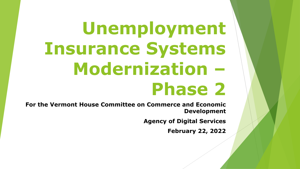# **Unemployment Insurance Systems Modernization – Phase 2**

**For the Vermont House Committee on Commerce and Economic Development**

**Agency of Digital Services**

**February 22, 2022**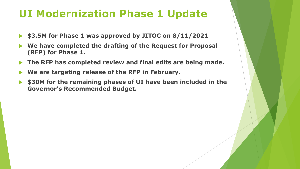#### **UI Modernization Phase 1 Update**

- **\$3.5M for Phase 1 was approved by JITOC on 8/11/2021**
- **We have completed the drafting of the Request for Proposal (RFP) for Phase 1.**
- **The RFP has completed review and final edits are being made.**
- **We are targeting release of the RFP in February.**
- **\$30M for the remaining phases of UI have been included in the Governor's Recommended Budget.**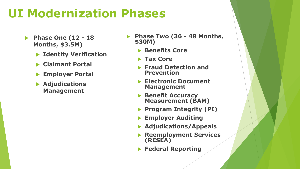### **UI Modernization Phases**

- **Phase One (12 - 18 Months, \$3.5M)**
	- **Identity Verification**
	- **Claimant Portal**
	- **Employer Portal**
	- **Adjudications Management**
- **Phase Two (36 - 48 Months, \$30M)**
	- **Benefits Core**
	- **Tax Core**
	- **Fraud Detection and Prevention**
	- **Electronic Document Management**
	- **Benefit Accuracy Measurement (BAM)**
	- **Program Integrity (PI)**
	- **Employer Auditing**
	- **Adjudications/Appeals**
	- **Reemployment Services (RESEA)**
	- **Federal Reporting**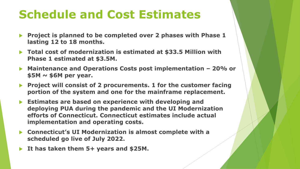### **Schedule and Cost Estimates**

- **Project is planned to be completed over 2 phases with Phase 1 lasting 12 to 18 months.**
- ▶ Total cost of modernization is estimated at \$33.5 Million with **Phase 1 estimated at \$3.5M.**
- **Maintenance and Operations Costs post implementation – 20% or \$5M ~ \$6M per year.**
- **Project will consist of 2 procurements. 1 for the customer facing portion of the system and one for the mainframe replacement.**
- **Estimates are based on experience with developing and deploying PUA during the pandemic and the UI Modernization efforts of Connecticut. Connecticut estimates include actual implementation and operating costs.**
- **Connecticut's UI Modernization is almost complete with a scheduled go live of July 2022.**
- **It has taken them 5+ years and \$25M.**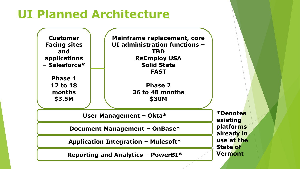## **UI Planned Architecture**